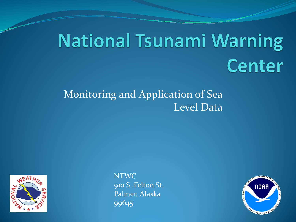## **National Tsunami Warning Center**

### Monitoring and Application of Sea Level Data



NTWC 910 S. Felton St. Palmer, Alaska 99645

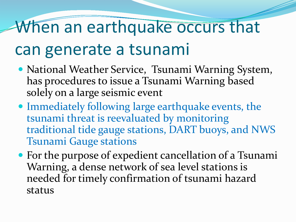## When an earthquake occurs that

## can generate a tsunami

- National Weather Service, Tsunami Warning System, has procedures to issue a Tsunami Warning based solely on a large seismic event
- Immediately following large earthquake events, the tsunami threat is reevaluated by monitoring traditional tide gauge stations, DART buoys, and NWS Tsunami Gauge stations
- For the purpose of expedient cancellation of a Tsunami Warning, a dense network of sea level stations is needed for timely confirmation of tsunami hazard status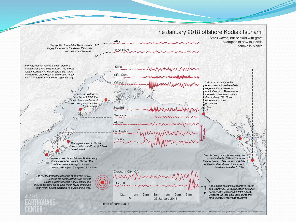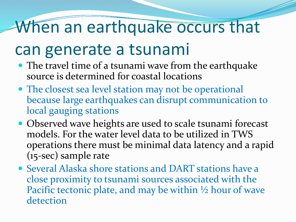## When an earthquake occurs that

## can generate a tsunami

- The travel time of a tsunami wave from the earthquake source is determined for coastal locations
- The closest sea level station may not be operational because large earthquakes can disrupt communication to local gauging stations
- Observed wave heights are used to scale tsunami forecast models. For the water level data to be utilized in TWS operations there must be minimal data latency and a rapid (15-sec) sample rate
- Several Alaska shore stations and DART stations have a close proximity to tsunami sources associated with the Pacific tectonic plate, and may be within  $\frac{1}{2}$  hour of wave detection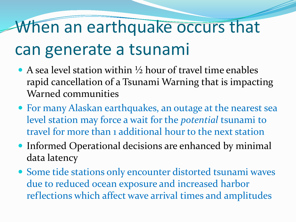# When an earthquake occurs that

## can generate a tsunami

- A sea level station within  $\frac{1}{2}$  hour of travel time enables rapid cancellation of a Tsunami Warning that is impacting Warned communities
- For many Alaskan earthquakes, an outage at the nearest sea level station may force a wait for the *potential* tsunami to travel for more than 1 additional hour to the next station
- Informed Operational decisions are enhanced by minimal data latency
- Some tide stations only encounter distorted tsunami waves due to reduced ocean exposure and increased harbor reflections which affect wave arrival times and amplitudes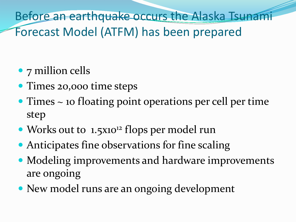Before an earthquake occurs the Alaska Tsunami Forecast Model (ATFM) has been prepared

- 7 million cells
- Times 20,000 time steps
- Times ~ 10 floating point operations per cell per time step
- Works out to 1.5x10<sup>12</sup> flops per model run
- Anticipates fine observations for fine scaling
- Modeling improvements and hardware improvements are ongoing
- New model runs are an ongoing development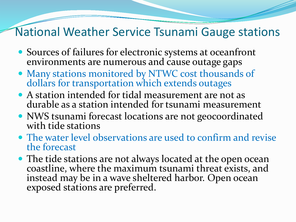### National Weather Service Tsunami Gauge stations

- Sources of failures for electronic systems at oceanfront environments are numerous and cause outage gaps
- Many stations monitored by NTWC cost thousands of dollars for transportation which extends outages
- A station intended for tidal measurement are not as durable as a station intended for tsunami measurement
- NWS tsunami forecast locations are not geocoordinated with tide stations
- The water level observations are used to confirm and revise the forecast
- The tide stations are not always located at the open ocean coastline, where the maximum tsunami threat exists, and instead may be in a wave sheltered harbor. Open ocean exposed stations are preferred.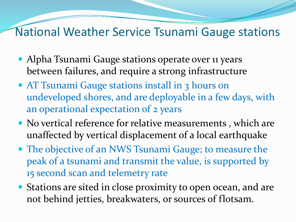### National Weather Service Tsunami Gauge stations

- Alpha Tsunami Gauge stations operate over 11 years between failures, and require a strong infrastructure
- AT Tsunami Gauge stations install in 3 hours on undeveloped shores, and are deployable in a few days, with an operational expectation of 2 years
- No vertical reference for relative measurements , which are unaffected by vertical displacement of a local earthquake
- The objective of an NWS Tsunami Gauge; to measure the peak of a tsunami and transmit the value, is supported by 15 second scan and telemetry rate
- Stations are sited in close proximity to open ocean, and are not behind jetties, breakwaters, or sources of flotsam.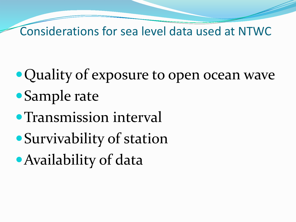Considerations for sea level data used at NTWC

- Quality of exposure to open ocean wave Sample rate
- Transmission interval
- Survivability of station
- Availability of data